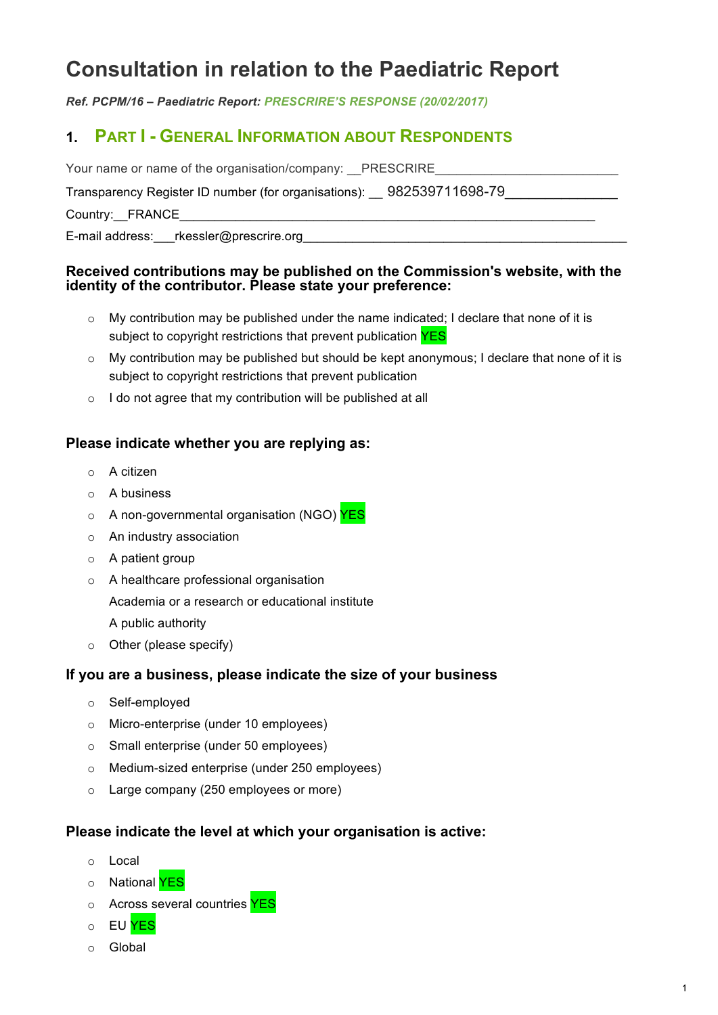# **Consultation in relation to the Paediatric Report**

*Ref. PCPM/16 – Paediatric Report: PRESCRIRE'S RESPONSE (20/02/2017)*

# **1. PART I - GENERAL INFORMATION ABOUT RESPONDENTS**

| Your name or name of the organisation/company: PRESCRIRE             |
|----------------------------------------------------------------------|
| Transparency Register ID number (for organisations): 982539711698-79 |
| Country: FRANCE                                                      |
| E-mail address: ___ rkessler@prescrire.org                           |

#### **Received contributions may be published on the Commission's website, with the identity of the contributor. Please state your preference:**

- $\circ$  My contribution may be published under the name indicated; I declare that none of it is subject to copyright restrictions that prevent publication YES
- $\circ$  My contribution may be published but should be kept anonymous; I declare that none of it is subject to copyright restrictions that prevent publication
- o I do not agree that my contribution will be published at all

#### **Please indicate whether you are replying as:**

- o A citizen
- o A business
- o A non-governmental organisation (NGO) **YES**
- o An industry association
- $\circ$  A patient group
- o A healthcare professional organisation

Academia or a research or educational institute

A public authority

o Other (please specify)

#### **If you are a business, please indicate the size of your business**

- o Self-employed
- o Micro-enterprise (under 10 employees)
- o Small enterprise (under 50 employees)
- o Medium-sized enterprise (under 250 employees)
- o Large company (250 employees or more)

#### **Please indicate the level at which your organisation is active:**

- o Local
- o National **YES**
- o Across several countries YES
- o EU YES
- o Global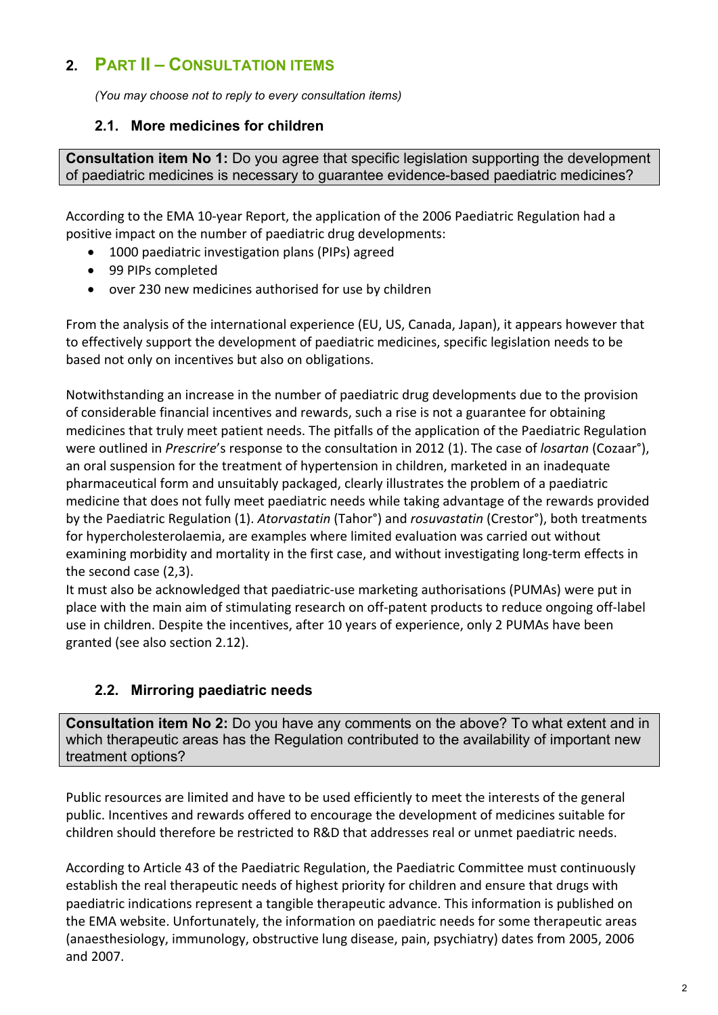# **2. PART II – CONSULTATION ITEMS**

*(You may choose not to reply to every consultation items)*

### **2.1. More medicines for children**

**Consultation item No 1:** Do you agree that specific legislation supporting the development of paediatric medicines is necessary to guarantee evidence-based paediatric medicines?

According to the EMA 10-year Report, the application of the 2006 Paediatric Regulation had a positive impact on the number of paediatric drug developments:

- 1000 paediatric investigation plans (PIPs) agreed
- 99 PIPs completed
- over 230 new medicines authorised for use by children

From the analysis of the international experience (EU, US, Canada, Japan), it appears however that to effectively support the development of paediatric medicines, specific legislation needs to be based not only on incentives but also on obligations.

Notwithstanding an increase in the number of paediatric drug developments due to the provision of considerable financial incentives and rewards, such a rise is not a guarantee for obtaining medicines that truly meet patient needs. The pitfalls of the application of the Paediatric Regulation were outlined in *Prescrire's* response to the consultation in 2012 (1). The case of *losartan* (Cozaar°), an oral suspension for the treatment of hypertension in children, marketed in an inadequate pharmaceutical form and unsuitably packaged, clearly illustrates the problem of a paediatric medicine that does not fully meet paediatric needs while taking advantage of the rewards provided by the Paediatric Regulation (1). *Atorvastatin* (Tahor<sup>°</sup>) and *rosuvastatin* (Crestor<sup>°</sup>), both treatments for hypercholesterolaemia, are examples where limited evaluation was carried out without examining morbidity and mortality in the first case, and without investigating long-term effects in the second case  $(2,3)$ .

It must also be acknowledged that paediatric-use marketing authorisations (PUMAs) were put in place with the main aim of stimulating research on off-patent products to reduce ongoing off-label use in children. Despite the incentives, after 10 years of experience, only 2 PUMAs have been granted (see also section 2.12).

# **2.2. Mirroring paediatric needs**

**Consultation item No 2:** Do you have any comments on the above? To what extent and in which therapeutic areas has the Regulation contributed to the availability of important new treatment options?

Public resources are limited and have to be used efficiently to meet the interests of the general public. Incentives and rewards offered to encourage the development of medicines suitable for children should therefore be restricted to R&D that addresses real or unmet paediatric needs.

According to Article 43 of the Paediatric Regulation, the Paediatric Committee must continuously establish the real therapeutic needs of highest priority for children and ensure that drugs with paediatric indications represent a tangible therapeutic advance. This information is published on the EMA website. Unfortunately, the information on paediatric needs for some therapeutic areas (anaesthesiology, immunology, obstructive lung disease, pain, psychiatry) dates from 2005, 2006 and 2007.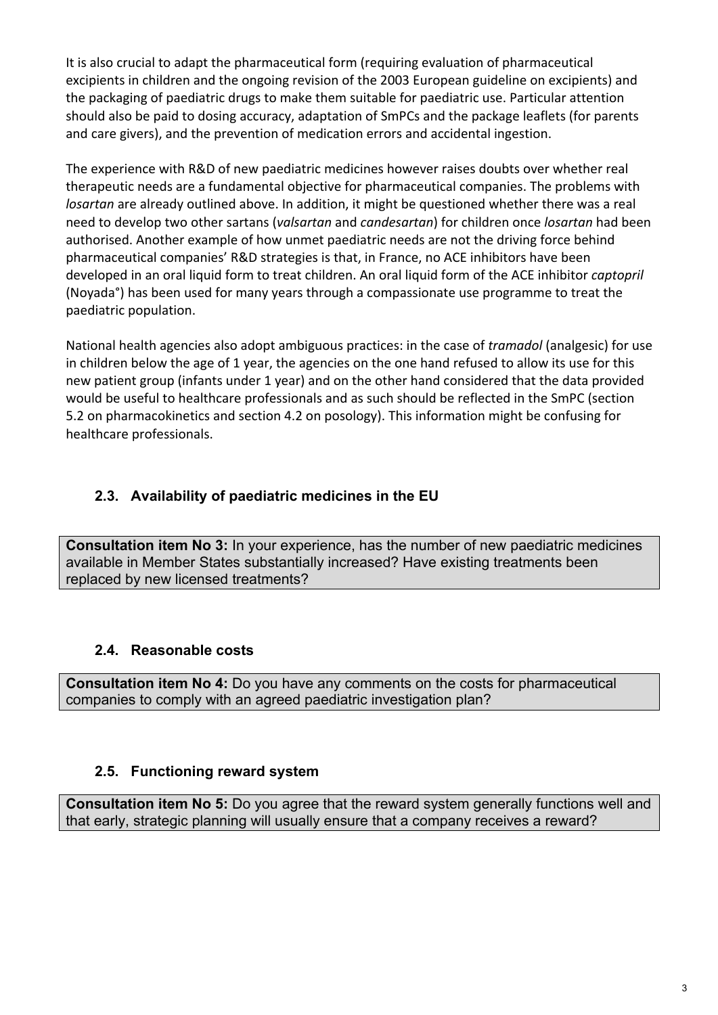It is also crucial to adapt the pharmaceutical form (requiring evaluation of pharmaceutical excipients in children and the ongoing revision of the 2003 European guideline on excipients) and the packaging of paediatric drugs to make them suitable for paediatric use. Particular attention should also be paid to dosing accuracy, adaptation of SmPCs and the package leaflets (for parents and care givers), and the prevention of medication errors and accidental ingestion.

The experience with R&D of new paediatric medicines however raises doubts over whether real therapeutic needs are a fundamental objective for pharmaceutical companies. The problems with *losartan* are already outlined above. In addition, it might be questioned whether there was a real need to develop two other sartans (*valsartan* and *candesartan*) for children once *losartan* had been authorised. Another example of how unmet paediatric needs are not the driving force behind pharmaceutical companies' R&D strategies is that, in France, no ACE inhibitors have been developed in an oral liquid form to treat children. An oral liquid form of the ACE inhibitor *captopril* (Noyada<sup>°</sup>) has been used for many years through a compassionate use programme to treat the paediatric population.

National health agencies also adopt ambiguous practices: in the case of *tramadol* (analgesic) for use in children below the age of 1 year, the agencies on the one hand refused to allow its use for this new patient group (infants under 1 year) and on the other hand considered that the data provided would be useful to healthcare professionals and as such should be reflected in the SmPC (section 5.2 on pharmacokinetics and section 4.2 on posology). This information might be confusing for healthcare professionals.

# **2.3. Availability of paediatric medicines in the EU**

**Consultation item No 3:** In your experience, has the number of new paediatric medicines available in Member States substantially increased? Have existing treatments been replaced by new licensed treatments?

# **2.4. Reasonable costs**

**Consultation item No 4:** Do you have any comments on the costs for pharmaceutical companies to comply with an agreed paediatric investigation plan?

# **2.5. Functioning reward system**

**Consultation item No 5:** Do you agree that the reward system generally functions well and that early, strategic planning will usually ensure that a company receives a reward?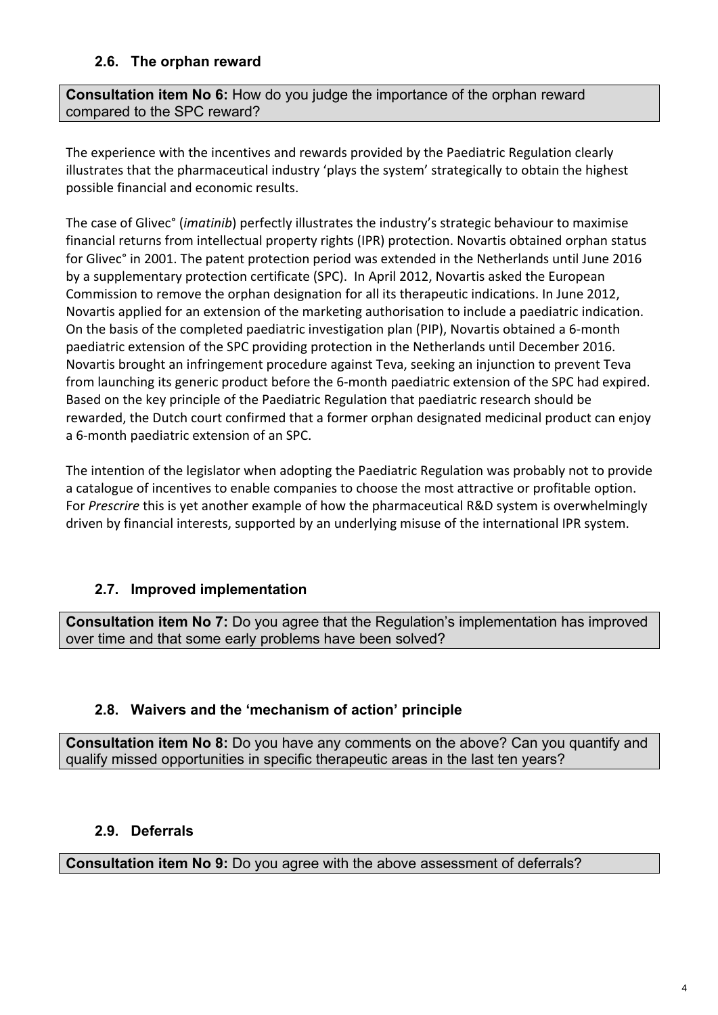# **2.6. The orphan reward**

**Consultation item No 6:** How do you judge the importance of the orphan reward compared to the SPC reward?

The experience with the incentives and rewards provided by the Paediatric Regulation clearly illustrates that the pharmaceutical industry 'plays the system' strategically to obtain the highest possible financial and economic results.

The case of Glivec<sup>°</sup> (*imatinib*) perfectly illustrates the industry's strategic behaviour to maximise financial returns from intellectual property rights (IPR) protection. Novartis obtained orphan status for Glivec° in 2001. The patent protection period was extended in the Netherlands until June 2016 by a supplementary protection certificate (SPC). In April 2012, Novartis asked the European Commission to remove the orphan designation for all its therapeutic indications. In June 2012, Novartis applied for an extension of the marketing authorisation to include a paediatric indication. On the basis of the completed paediatric investigation plan (PIP), Novartis obtained a 6-month paediatric extension of the SPC providing protection in the Netherlands until December 2016. Novartis brought an infringement procedure against Teva, seeking an injunction to prevent Teva from launching its generic product before the 6-month paediatric extension of the SPC had expired. Based on the key principle of the Paediatric Regulation that paediatric research should be rewarded, the Dutch court confirmed that a former orphan designated medicinal product can enjoy a 6-month paediatric extension of an SPC.

The intention of the legislator when adopting the Paediatric Regulation was probably not to provide a catalogue of incentives to enable companies to choose the most attractive or profitable option. For *Prescrire* this is yet another example of how the pharmaceutical R&D system is overwhelmingly driven by financial interests, supported by an underlying misuse of the international IPR system.

# **2.7. Improved implementation**

**Consultation item No 7:** Do you agree that the Regulation's implementation has improved over time and that some early problems have been solved?

# **2.8. Waivers and the 'mechanism of action' principle**

**Consultation item No 8:** Do you have any comments on the above? Can you quantify and qualify missed opportunities in specific therapeutic areas in the last ten years?

# **2.9. Deferrals**

**Consultation item No 9:** Do you agree with the above assessment of deferrals?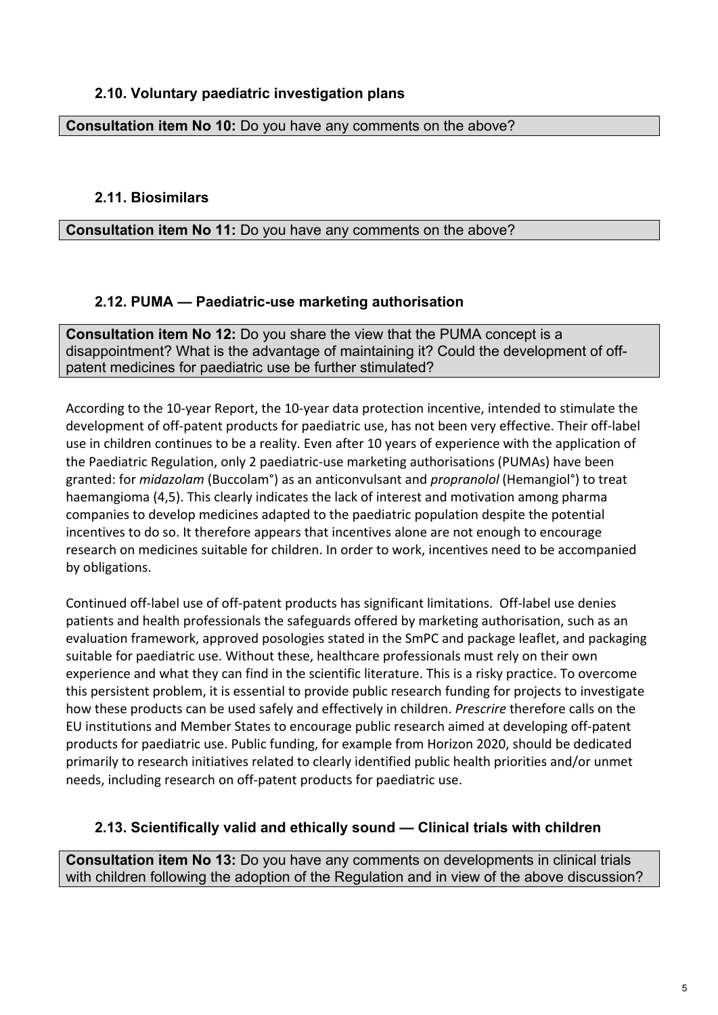### **2.10. Voluntary paediatric investigation plans**

#### **Consultation item No 10:** Do you have any comments on the above?

#### **2.11. Biosimilars**

**Consultation item No 11:** Do you have any comments on the above?

#### **2.12. PUMA — Paediatric-use marketing authorisation**

**Consultation item No 12:** Do you share the view that the PUMA concept is a disappointment? What is the advantage of maintaining it? Could the development of offpatent medicines for paediatric use be further stimulated?

According to the 10-year Report, the 10-year data protection incentive, intended to stimulate the development of off-patent products for paediatric use, has not been very effective. Their off-label use in children continues to be a reality. Even after 10 years of experience with the application of the Paediatric Regulation, only 2 paediatric-use marketing authorisations (PUMAs) have been granted: for *midazolam* (Buccolam<sup>°</sup>) as an anticonvulsant and *propranolol* (Hemangiol<sup>°</sup>) to treat haemangioma (4,5). This clearly indicates the lack of interest and motivation among pharma companies to develop medicines adapted to the paediatric population despite the potential incentives to do so. It therefore appears that incentives alone are not enough to encourage research on medicines suitable for children. In order to work, incentives need to be accompanied by obligations. 

Continued off-label use of off-patent products has significant limitations. Off-label use denies patients and health professionals the safeguards offered by marketing authorisation, such as an evaluation framework, approved posologies stated in the SmPC and package leaflet, and packaging suitable for paediatric use. Without these, healthcare professionals must rely on their own experience and what they can find in the scientific literature. This is a risky practice. To overcome this persistent problem, it is essential to provide public research funding for projects to investigate how these products can be used safely and effectively in children. *Prescrire* therefore calls on the EU institutions and Member States to encourage public research aimed at developing off-patent products for paediatric use. Public funding, for example from Horizon 2020, should be dedicated primarily to research initiatives related to clearly identified public health priorities and/or unmet needs, including research on off-patent products for paediatric use.

#### **2.13. Scientifically valid and ethically sound — Clinical trials with children**

**Consultation item No 13:** Do you have any comments on developments in clinical trials with children following the adoption of the Regulation and in view of the above discussion?